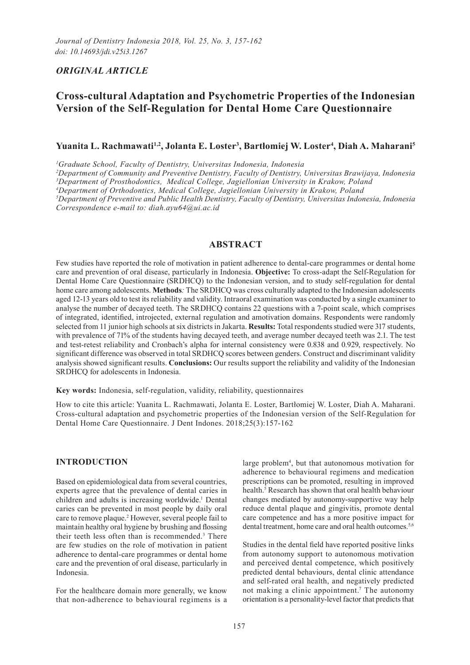## *ORIGINAL ARTICLE*

# **Cross-cultural Adaptation and Psychometric Properties of the Indonesian Version of the Self-Regulation for Dental Home Care Questionnaire**

## **Yuanita L. Rachmawati1,2, Jolanta E. Loster3 , Bartłomiej W. Loster<sup>4</sup> , Diah A. Maharani5**

*1 Graduate School, Faculty of Dentistry, Universitas Indonesia, Indonesia*

 *Department of Community and Preventive Dentistry, Faculty of Dentistry, Universitas Brawijaya, Indonesia Department of Prosthodontics, Medical College, Jagiellonian University in Krakow, Poland Department of Orthodontics, Medical College, Jagiellonian University in Krakow, Poland Department of Preventive and Public Health Dentistry, Faculty of Dentistry, Universitas Indonesia, Indonesia Correspondence e-mail to: diah.ayu64@ui.ac.id*

## **ABSTRACT**

Few studies have reported the role of motivation in patient adherence to dental-care programmes or dental home care and prevention of oral disease, particularly in Indonesia. **Objective:** To cross-adapt the Self-Regulation for Dental Home Care Questionnaire (SRDHCQ) to the Indonesian version, and to study self-regulation for dental home care among adolescents. **Methods***:* The SRDHCQ was cross culturally adapted to the Indonesian adolescents aged 12-13 years old to test its reliability and validity. Intraoral examination was conducted by a single examiner to analyse the number of decayed teeth. The SRDHCQ contains 22 questions with a 7-point scale, which comprises of integrated, identified, introjected, external regulation and amotivation domains. Respondents were randomly selected from 11 junior high schools at six districts in Jakarta. **Results:** Total respondents studied were 317 students, with prevalence of 71% of the students having decayed teeth, and average number decayed teeth was 2.1. The test and test-retest reliability and Cronbach's alpha for internal consistency were 0.838 and 0.929, respectively. No significant difference was observed in total SRDHCQ scores between genders. Construct and discriminant validity analysis showed significant results. **Conclusions:** Our results support the reliability and validity of the Indonesian SRDHCQ for adolescents in Indonesia.

**Key words:** Indonesia, self-regulation, validity, reliability, questionnaires

How to cite this article: Yuanita L. Rachmawati, Jolanta E. Loster, Bartłomiej W. Loster, Diah A. Maharani. Cross-cultural adaptation and psychometric properties of the Indonesian version of the Self-Regulation for Dental Home Care Questionnaire. J Dent Indones. 2018;25(3):157-162

#### **INTRODUCTION**

Based on epidemiological data from several countries, experts agree that the prevalence of dental caries in children and adults is increasing worldwide.<sup>1</sup> Dental caries can be prevented in most people by daily oral care to remove plaque.<sup>2</sup> However, several people fail to maintain healthy oral hygiene by brushing and flossing their teeth less often than is recommended.3 There are few studies on the role of motivation in patient adherence to dental-care programmes or dental home care and the prevention of oral disease, particularly in Indonesia.

For the healthcare domain more generally, we know that non-adherence to behavioural regimens is a

large problem<sup>4</sup>, but that autonomous motivation for adherence to behavioural regimens and medication prescriptions can be promoted, resulting in improved health.<sup>5</sup> Research has shown that oral health behaviour changes mediated by autonomy-supportive way help reduce dental plaque and gingivitis, promote dental care competence and has a more positive impact for dental treatment, home care and oral health outcomes.<sup>5,6</sup>

Studies in the dental field have reported positive links from autonomy support to autonomous motivation and perceived dental competence, which positively predicted dental behaviours, dental clinic attendance and self-rated oral health, and negatively predicted not making a clinic appointment.<sup>7</sup> The autonomy orientation is a personality-level factor that predicts that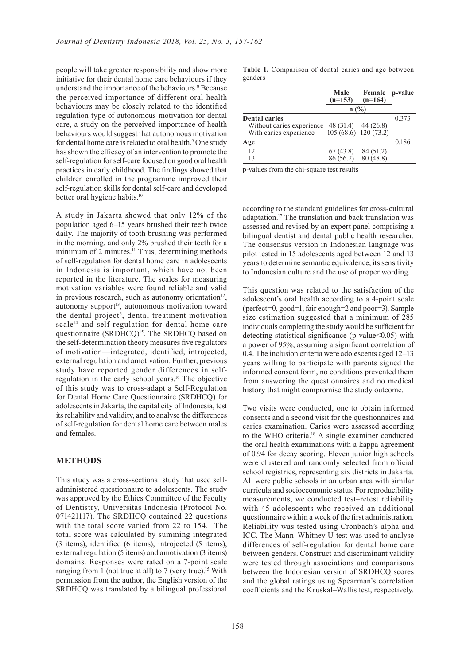people will take greater responsibility and show more initiative for their dental home care behaviours if they understand the importance of the behaviours.<sup>8</sup> Because the perceived importance of different oral health behaviours may be closely related to the identified regulation type of autonomous motivation for dental care, a study on the perceived importance of health behaviours would suggest that autonomous motivation for dental home care is related to oral health.<sup>9</sup> One study has shown the efficacy of an intervention to promote the self-regulation for self-care focused on good oral health practices in early childhood. The findings showed that children enrolled in the programme improved their self-regulation skills for dental self-care and developed better oral hygiene habits.<sup>10</sup>

A study in Jakarta showed that only 12% of the population aged 6–15 years brushed their teeth twice daily. The majority of tooth brushing was performed in the morning, and only 2% brushed their teeth for a minimum of  $2$  minutes.<sup>11</sup> Thus, determining methods of self-regulation for dental home care in adolescents in Indonesia is important, which have not been reported in the literature. The scales for measuring motivation variables were found reliable and valid in previous research, such as autonomy orientation<sup>12</sup>, autonomy support<sup>13</sup>, autonomous motivation toward the dental project<sup>6</sup>, dental treatment motivation scale<sup>14</sup> and self-regulation for dental home care questionnaire (SRDHCQ)<sup>15</sup>. The SRDHCQ based on the self-determination theory measures five regulators of motivation—integrated, identified, introjected, external regulation and amotivation. Further, previous study have reported gender differences in selfregulation in the early school years.16 The objective of this study was to cross-adapt a Self-Regulation for Dental Home Care Questionnaire (SRDHCQ) for adolescents in Jakarta, the capital city of Indonesia, test its reliability and validity, and to analyse the differences of self-regulation for dental home care between males and females.

#### **METHODS**

This study was a cross-sectional study that used selfadministered questionnaire to adolescents. The study was approved by the Ethics Committee of the Faculty of Dentistry, Universitas Indonesia (Protocol No. 071421117). The SRDHCQ contained 22 questions with the total score varied from 22 to 154. The total score was calculated by summing integrated (3 items), identified (6 items), introjected (5 items), external regulation (5 items) and amotivation (3 items) domains. Responses were rated on a 7-point scale ranging from 1 (not true at all) to 7 (very true).<sup>15</sup> With permission from the author, the English version of the SRDHCQ was translated by a bilingual professional

**Table 1.** Comparison of dental caries and age between genders

|                                                     | Male<br>$(n=153)$     | Female<br>$(n=164)$                          | p-value |
|-----------------------------------------------------|-----------------------|----------------------------------------------|---------|
|                                                     | n(%)                  |                                              |         |
| <b>Dental caries</b>                                |                       |                                              | 0.373   |
| Without caries experience<br>With caries experience |                       | 48 (31.4) 44 (26.8)<br>105 (68.6) 120 (73.2) |         |
| Age                                                 |                       |                                              | 0.186   |
| 12<br>13                                            | 67(43.8)<br>86 (56.2) | 84 (51.2)<br>80 (48.8)                       |         |

p-values from the chi-square test results

according to the standard guidelines for cross-cultural adaptation.17 The translation and back translation was assessed and revised by an expert panel comprising a bilingual dentist and dental public health researcher. The consensus version in Indonesian language was pilot tested in 15 adolescents aged between 12 and 13 years to determine semantic equivalence, its sensitivity to Indonesian culture and the use of proper wording.

This question was related to the satisfaction of the adolescent's oral health according to a 4-point scale (perfect=0, good=1, fair enough=2 and poor=3). Sample size estimation suggested that a minimum of 285 individuals completing the study would be sufficient for detecting statistical significance (p-value<0.05) with a power of 95%, assuming a significant correlation of 0.4. The inclusion criteria were adolescents aged 12–13 years willing to participate with parents signed the informed consent form, no conditions prevented them from answering the questionnaires and no medical history that might compromise the study outcome.

Two visits were conducted, one to obtain informed consents and a second visit for the questionnaires and caries examination. Caries were assessed according to the WHO criteria.<sup>18</sup> A single examiner conducted the oral health examinations with a kappa agreement of 0.94 for decay scoring. Eleven junior high schools were clustered and randomly selected from official school registries, representing six districts in Jakarta. All were public schools in an urban area with similar curricula and socioeconomic status. For reproducibility measurements, we conducted test–retest reliability with 45 adolescents who received an additional questionnaire within a week of the first administration. Reliability was tested using Cronbach's alpha and ICC. The Mann–Whitney U-test was used to analyse differences of self-regulation for dental home care between genders. Construct and discriminant validity were tested through associations and comparisons between the Indonesian version of SRDHCQ scores and the global ratings using Spearman's correlation coefficients and the Kruskal–Wallis test, respectively.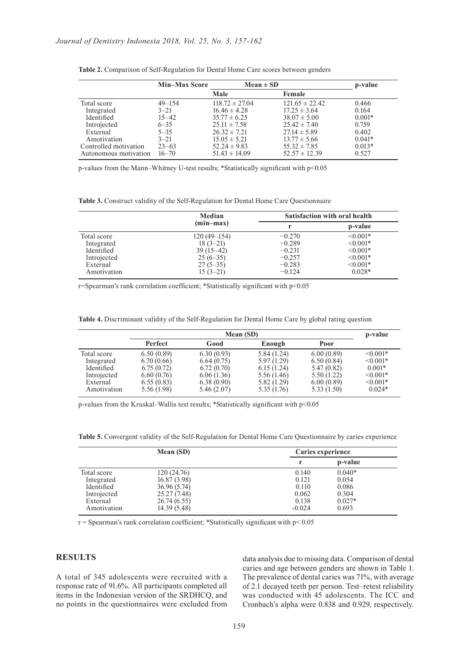|                       | <b>Min-Max Score</b> | $Mean \pm SD$      |                    | p-value  |
|-----------------------|----------------------|--------------------|--------------------|----------|
|                       |                      | Male               | Female             |          |
| Total score           | $49 - 154$           | $118.72 \pm 27.04$ | $121.65 \pm 22.42$ | 0.466    |
| Integrated            | $3 - 21$             | $16.46 \pm 4.28$   | $17.25 \pm 3.64$   | 0.164    |
| Identified            | $15 - 42$            | $35.77 \pm 6.25$   | $38.07 \pm 5.00$   | $0.001*$ |
| Introjected           | $6 - 35$             | $25.11 \pm 7.58$   | $25.42 \pm 7.40$   | 0.759    |
| External              | $5 - 35$             | $26.32 \pm 7.21$   | $27.14 \pm 5.89$   | 0.402    |
| Amotivation           | $3 - 21$             | $15.05 \pm 5.21$   | $13.77 \pm 5.66$   | $0.041*$ |
| Controlled motivation | $23 - 63$            | $52.24 \pm 9.83$   | $55.32 \pm 7.85$   | $0.013*$ |
| Autonomous motivation | $16 - 70$            | $51.43 \pm 14.09$  | $52.57 \pm 12.39$  | 0.527    |

| Table 2. Comparison of Self-Regulation for Dental Home Care scores between genders |
|------------------------------------------------------------------------------------|
|------------------------------------------------------------------------------------|

p-values from the Mann–Whitney U-test results; \*Statistically significant with p<0.05

**Table 3.** Construct validity of the Self-Regulation for Dental Home Care Questionnaire

|             | Median        | <b>Satisfaction with oral health</b> |               |  |
|-------------|---------------|--------------------------------------|---------------|--|
|             | $(min-max)$   |                                      | p-value       |  |
| Total score | $120(49-154)$ | $-0.270$                             | $\leq 0.001*$ |  |
| Integrated  | $18(3-21)$    | $-0.289$                             | $\leq 0.001*$ |  |
| Identified  | $39(15-42)$   | $-0.231$                             | $\leq 0.001*$ |  |
| Introjected | $25(6-35)$    | $-0.257$                             | $\leq 0.001*$ |  |
| External    | $27(5-35)$    | $-0.283$                             | $\leq 0.001*$ |  |
| Amotivation | $15(3-21)$    | $-0.124$                             | $0.028*$      |  |

r=Spearman's rank correlation coefficient; \*Statistically significant with p<0.05

**Table 4.** Discriminant validity of the Self-Regulation for Dental Home Care by global rating question

|             | Mean (SD)      |            |             | p-value    |               |
|-------------|----------------|------------|-------------|------------|---------------|
|             | <b>Perfect</b> | Good       | Enough      | Poor       |               |
| Total score | 6.50(0.89)     | 6.30(0.93) | 5.84(1.24)  | 6.00(0.89) | $\leq 0.001*$ |
| Integrated  | 6.70(0.66)     | 6.64(0.75) | 5.97(1.29)  | 6.50(0.84) | $\leq 0.001*$ |
| Identified  | 6.75(0.72)     | 6.72(0.70) | 6.15(1.24)  | 5.47(0.82) | $0.001*$      |
| Introjected | 6.60(0.76)     | 6.06(1.36) | 5.56 (1.46) | 5.50(1.22) | $\leq 0.001*$ |
| External    | 6.55(0.83)     | 6.38(0.90) | 5.82(1.29)  | 6.00(0.89) | $\leq 0.001*$ |
| Amotivation | 5.56 (1.98)    | 5.46(2.07) | 5.35(1.76)  | 5.33(1.50) | $0.024*$      |

p-values from the Kruskal–Wallis test results; \*Statistically significant with p<0.05

**Table 5.** Convergent validity of the Self-Regulation for Dental Home Care Questionnaire by caries experience

|             | Mean (SD)    | Caries experience |          |  |
|-------------|--------------|-------------------|----------|--|
|             |              |                   | p-value  |  |
| Total score | 120 (24.76)  | 0.140             | $0.040*$ |  |
| Integrated  | 16.87(3.98)  | 0.121             | 0.054    |  |
| Identified  | 36.96 (5.74) | 0.110             | 0.086    |  |
| Introjected | 25.27 (7.48) | 0.062             | 0.304    |  |
| External    | 26.74 (6.55) | 0.138             | $0.027*$ |  |
| Amotivation | 14.39(5.48)  | $-0.024$          | 0.693    |  |

r = Spearman's rank correlation coefficient; \*Statistically significant with p< 0.05

### **RESULTS**

A total of 345 adolescents were recruited with a response rate of 91.6%. All participants completed all items in the Indonesian version of the SRDHCQ, and no points in the questionnaires were excluded from data analysis due to missing data. Comparison of dental caries and age between genders are shown in Table 1. The prevalence of dental caries was 71%, with average of 2.1 decayed teeth per person. Test–retest reliability was conducted with 45 adolescents. The ICC and Cronbach's alpha were 0.838 and 0.929, respectively.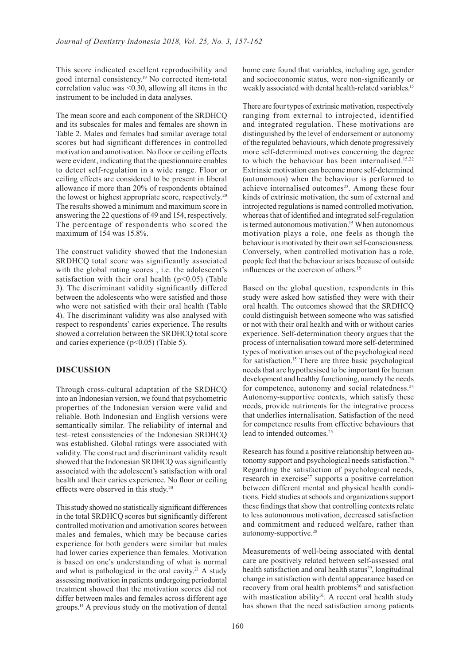This score indicated excellent reproducibility and good internal consistency.<sup>19</sup> No corrected item-total correlation value was <0.30, allowing all items in the instrument to be included in data analyses.

The mean score and each component of the SRDHCQ and its subscales for males and females are shown in Table 2. Males and females had similar average total scores but had significant differences in controlled motivation and amotivation. No floor or ceiling effects were evident, indicating that the questionnaire enables to detect self-regulation in a wide range. Floor or ceiling effects are considered to be present in liberal allowance if more than 20% of respondents obtained the lowest or highest appropriate score, respectively.<sup>20</sup> The results showed a minimum and maximum score in answering the 22 questions of 49 and 154, respectively. The percentage of respondents who scored the maximum of 154 was 15.8%

The construct validity showed that the Indonesian SRDHCQ total score was significantly associated with the global rating scores , i.e. the adolescent's satisfaction with their oral health  $(p<0.05)$  (Table 3). The discriminant validity significantly differed between the adolescents who were satisfied and those who were not satisfied with their oral health (Table 4). The discriminant validity was also analysed with respect to respondents' caries experience. The results showed a correlation between the SRDHCQ total score and caries experience (p<0.05) (Table 5).

#### **DISCUSSION**

Through cross-cultural adaptation of the SRDHCQ into an Indonesian version, we found that psychometric properties of the Indonesian version were valid and reliable. Both Indonesian and English versions were semantically similar. The reliability of internal and test–retest consistencies of the Indonesian SRDHCQ was established. Global ratings were associated with validity. The construct and discriminant validity result showed that the Indonesian SRDHCQ was significantly associated with the adolescent's satisfaction with oral health and their caries experience. No floor or ceiling effects were observed in this study.20

This study showed no statistically significant differences in the total SRDHCQ scores but significantly different controlled motivation and amotivation scores between males and females, which may be because caries experience for both genders were similar but males had lower caries experience than females. Motivation is based on one's understanding of what is normal and what is pathological in the oral cavity.<sup>21</sup> A study assessing motivation in patients undergoing periodontal treatment showed that the motivation scores did not differ between males and females across different age groups.14 A previous study on the motivation of dental

home care found that variables, including age, gender and socioeconomic status, were non-significantly or weakly associated with dental health-related variables.<sup>15</sup>

There are four types of extrinsic motivation, respectively ranging from external to introjected, identified and integrated regulation. These motivations are distinguished by the level of endorsement or autonomy of the regulated behaviours, which denote progressively more self-determined motives concerning the degree to which the behaviour has been internalised  $^{15,22}$ Extrinsic motivation can become more self-determined (autonomous) when the behaviour is performed to achieve internalised outcomes $23$ . Among these four kinds of extrinsic motivation, the sum of external and introjected regulations is named controlled motivation, whereas that of identified and integrated self-regulation is termed autonomous motivation.<sup>15</sup> When autonomous motivation plays a role, one feels as though the behaviour is motivated by their own self-consciousness. Conversely, when controlled motivation has a role, people feel that the behaviour arises because of outside influences or the coercion of others.<sup>15</sup>

Based on the global question, respondents in this study were asked how satisfied they were with their oral health. The outcomes showed that the SRDHCQ could distinguish between someone who was satisfied or not with their oral health and with or without caries experience. Self-determination theory argues that the process of internalisation toward more self-determined types of motivation arises out of the psychological need for satisfaction.15 There are three basic psychological needs that are hypothesised to be important for human development and healthy functioning, namely the needs for competence, autonomy and social relatedness.<sup>24</sup> Autonomy-supportive contexts, which satisfy these needs, provide nutriments for the integrative process that underlies internalisation. Satisfaction of the need for competence results from effective behaviours that lead to intended outcomes.<sup>25</sup>

Research has found a positive relationship between autonomy support and psychological needs satisfaction.<sup>26</sup> Regarding the satisfaction of psychological needs, research in exercise<sup>27</sup> supports a positive correlation between different mental and physical health conditions. Field studies at schools and organizations support these findings that show that controlling contexts relate to less autonomous motivation, decreased satisfaction and commitment and reduced welfare, rather than autonomy-supportive.28

Measurements of well-being associated with dental care are positively related between self-assessed oral health satisfaction and oral health status $29$ , longitudinal change in satisfaction with dental appearance based on recovery from oral health problems<sup>30</sup> and satisfaction with mastication ability $31$ . A recent oral health study has shown that the need satisfaction among patients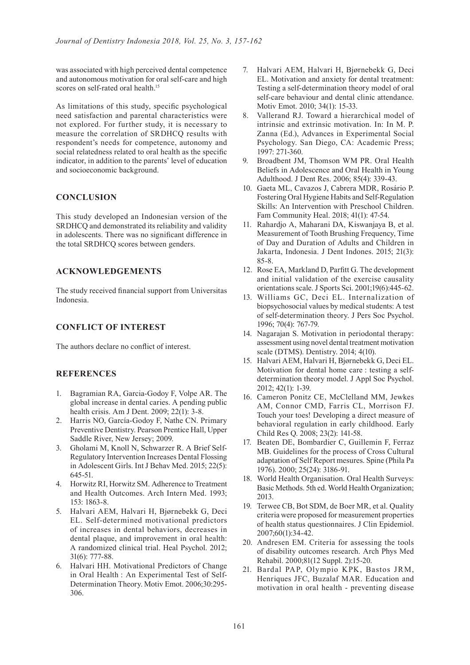was associated with high perceived dental competence and autonomous motivation for oral self-care and high scores on self-rated oral health.<sup>15</sup>

As limitations of this study, specific psychological need satisfaction and parental characteristics were not explored. For further study, it is necessary to measure the correlation of SRDHCQ results with respondent's needs for competence, autonomy and social relatedness related to oral health as the specific indicator, in addition to the parents' level of education and socioeconomic background.

#### **CONCLUSION**

This study developed an Indonesian version of the SRDHCQ and demonstrated its reliability and validity in adolescents. There was no significant difference in the total SRDHCQ scores between genders.

#### **ACKNOWLEDGEMENTS**

The study received financial support from Universitas Indonesia.

#### **CONFLICT OF INTEREST**

The authors declare no conflict of interest.

#### **REFERENCES**

- 1. Bagramian RA, Garcia-Godoy F, Volpe AR. The global increase in dental caries. A pending public health crisis. Am J Dent. 2009; 22(1): 3-8.
- 2. Harris NO, García-Godoy F, Nathe CN. Primary Preventive Dentistry. Pearson Prentice Hall, Upper Saddle River, New Jersey; 2009.
- 3. Gholami M, Knoll N, Schwarzer R. A Brief Self-Regulatory Intervention Increases Dental Flossing in Adolescent Girls. Int J Behav Med. 2015; 22(5): 645-51.
- 4. Horwitz RI, Horwitz SM. Adherence to Treatment and Health Outcomes. Arch Intern Med. 1993; 153: 1863-8.
- 5. Halvari AEM, Halvari H, Bjørnebekk G, Deci EL. Self-determined motivational predictors of increases in dental behaviors, decreases in dental plaque, and improvement in oral health: A randomized clinical trial. Heal Psychol. 2012; 31(6): 777-88.
- 6. Halvari HH. Motivational Predictors of Change in Oral Health : An Experimental Test of Self-Determination Theory. Motiv Emot. 2006;30:295- 306.
- 7. Halvari AEM, Halvari H, Bjørnebekk G, Deci EL. Motivation and anxiety for dental treatment: Testing a self-determination theory model of oral self-care behaviour and dental clinic attendance. Motiv Emot. 2010; 34(1): 15-33.
- 8. Vallerand RJ. Toward a hierarchical model of intrinsic and extrinsic motivation. In: In M. P. Zanna (Ed.), Advances in Experimental Social Psychology. San Diego, CA: Academic Press; 1997: 271-360.
- 9. Broadbent JM, Thomson WM PR. Oral Health Beliefs in Adolescence and Oral Health in Young Adulthood. J Dent Res. 2006; 85(4): 339-43.
- 10. Gaeta ML, Cavazos J, Cabrera MDR, Rosário P. Fostering Oral Hygiene Habits and Self-Regulation Skills: An Intervention with Preschool Children. Fam Community Heal. 2018; 41(1): 47-54.
- 11. Rahardjo A, Maharani DA, Kiswanjaya B, et al. Measurement of Tooth Brushing Frequency, Time of Day and Duration of Adults and Children in Jakarta, Indonesia. J Dent Indones. 2015; 21(3): 85-8.
- 12. Rose EA, Markland D, Parfitt G. The development and initial validation of the exercise causality orientations scale. J Sports Sci. 2001;19(6):445-62.
- 13. Williams GC, Deci EL. Internalization of biopsychosocial values by medical students: A test of self-determination theory. J Pers Soc Psychol. 1996; 70(4): 767-79.
- 14. Nagarajan S. Motivation in periodontal therapy: assessment using novel dental treatment motivation scale (DTMS). Dentistry. 2014; 4(10).
- 15. Halvari AEM, Halvari H, Bjørnebekk G, Deci EL. Motivation for dental home care : testing a selfdetermination theory model. J Appl Soc Psychol. 2012; 42(1): 1-39.
- 16. Cameron Ponitz CE, McClelland MM, Jewkes AM, Connor CMD, Farris CL, Morrison FJ. Touch your toes! Developing a direct measure of behavioral regulation in early childhood. Early Child Res Q. 2008; 23(2): 141-58.
- 17. Beaten DE, Bombardier C, Guillemin F, Ferraz MB. Guidelines for the process of Cross Cultural adaptation of Self Report mesures. Spine (Phila Pa 1976). 2000; 25(24): 3186-91.
- 18. World Health Organisation. Oral Health Surveys: Basic Methods. 5th ed. World Health Organization; 2013.
- 19. Terwee CB, Bot SDM, de Boer MR, et al. Quality criteria were proposed for measurement properties of health status questionnaires. J Clin Epidemiol. 2007;60(1):34-42.
- 20. Andresen EM. Criteria for assessing the tools of disability outcomes research. Arch Phys Med Rehabil. 2000;81(12 Suppl. 2):15-20.
- 21. Bardal PAP, Olympio KPK, Bastos JRM, Henriques JFC, Buzalaf MAR. Education and motivation in oral health - preventing disease